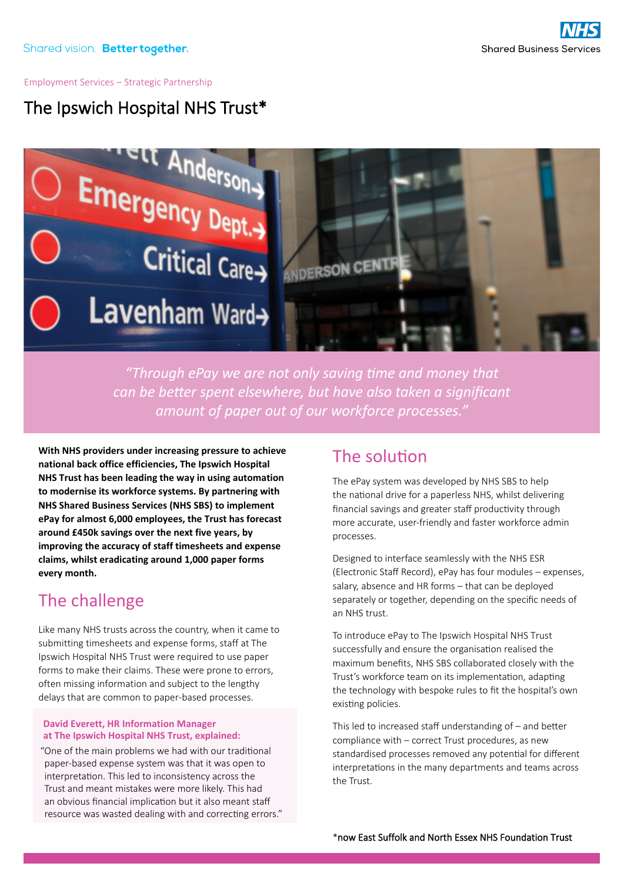#### Employment Services – Strategic Partnership

# The Ipswich Hospital NHS Trust\*



*"Through ePay we are not only saving time and money that can be better spent elsewhere, but have also taken a significant amount of paper out of our workforce processes."*

**With NHS providers under increasing pressure to achieve national back office efficiencies, The Ipswich Hospital NHS Trust has been leading the way in using automation to modernise its workforce systems. By partnering with NHS Shared Business Services (NHS SBS) to implement ePay for almost 6,000 employees, the Trust has forecast around £450k savings over the next five years, by improving the accuracy of staff timesheets and expense claims, whilst eradicating around 1,000 paper forms every month.** 

## The challenge

Like many NHS trusts across the country, when it came to submitting timesheets and expense forms, staff at The Ipswich Hospital NHS Trust were required to use paper forms to make their claims. These were prone to errors, often missing information and subject to the lengthy delays that are common to paper-based processes.

#### **David Everett, HR Information Manager at The Ipswich Hospital NHS Trust, explained:**

"One of the main problems we had with our traditional paper-based expense system was that it was open to interpretation. This led to inconsistency across the Trust and meant mistakes were more likely. This had an obvious financial implication but it also meant staff resource was wasted dealing with and correcting errors."

### The solution

The ePay system was developed by NHS SBS to help the national drive for a paperless NHS, whilst delivering financial savings and greater staff productivity through more accurate, user-friendly and faster workforce admin processes.

Designed to interface seamlessly with the NHS ESR (Electronic Staff Record), ePay has four modules – expenses, salary, absence and HR forms – that can be deployed separately or together, depending on the specific needs of an NHS trust.

To introduce ePay to The Ipswich Hospital NHS Trust successfully and ensure the organisation realised the maximum benefits, NHS SBS collaborated closely with the Trust's workforce team on its implementation, adapting the technology with bespoke rules to fit the hospital's own existing policies.

This led to increased staff understanding of – and better compliance with – correct Trust procedures, as new standardised processes removed any potential for different interpretations in the many departments and teams across the Trust.